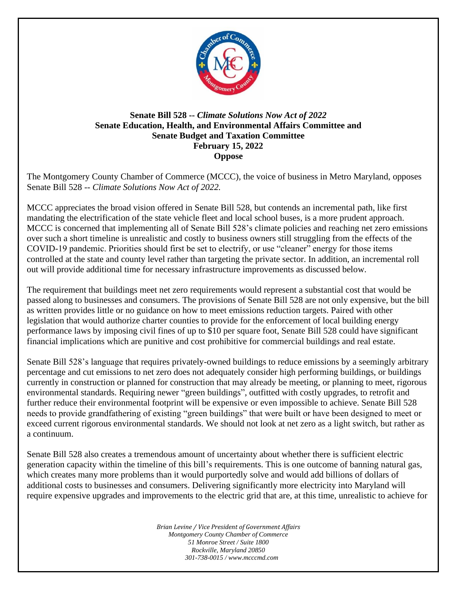

## **Senate Bill 528 --** *Climate Solutions Now Act of 2022* **Senate Education, Health, and Environmental Affairs Committee and Senate Budget and Taxation Committee February 15, 2022 Oppose**

The Montgomery County Chamber of Commerce (MCCC), the voice of business in Metro Maryland, opposes Senate Bill 528 -- *Climate Solutions Now Act of 2022.*

MCCC appreciates the broad vision offered in Senate Bill 528, but contends an incremental path, like first mandating the electrification of the state vehicle fleet and local school buses, is a more prudent approach. MCCC is concerned that implementing all of Senate Bill 528's climate policies and reaching net zero emissions over such a short timeline is unrealistic and costly to business owners still struggling from the effects of the COVID-19 pandemic. Priorities should first be set to electrify, or use "cleaner" energy for those items controlled at the state and county level rather than targeting the private sector. In addition, an incremental roll out will provide additional time for necessary infrastructure improvements as discussed below.

The requirement that buildings meet net zero requirements would represent a substantial cost that would be passed along to businesses and consumers. The provisions of Senate Bill 528 are not only expensive, but the bill as written provides little or no guidance on how to meet emissions reduction targets. Paired with other legislation that would authorize charter counties to provide for the enforcement of local building energy performance laws by imposing civil fines of up to \$10 per square foot, Senate Bill 528 could have significant financial implications which are punitive and cost prohibitive for commercial buildings and real estate.

Senate Bill 528's language that requires privately-owned buildings to reduce emissions by a seemingly arbitrary percentage and cut emissions to net zero does not adequately consider high performing buildings, or buildings currently in construction or planned for construction that may already be meeting, or planning to meet, rigorous environmental standards. Requiring newer "green buildings", outfitted with costly upgrades, to retrofit and further reduce their environmental footprint will be expensive or even impossible to achieve. Senate Bill 528 needs to provide grandfathering of existing "green buildings" that were built or have been designed to meet or exceed current rigorous environmental standards. We should not look at net zero as a light switch, but rather as a continuum.

Senate Bill 528 also creates a tremendous amount of uncertainty about whether there is sufficient electric generation capacity within the timeline of this bill's requirements. This is one outcome of banning natural gas, which creates many more problems than it would purportedly solve and would add billions of dollars of additional costs to businesses and consumers. Delivering significantly more electricity into Maryland will require expensive upgrades and improvements to the electric grid that are, at this time, unrealistic to achieve for

> *Brian Levine / Vice President of Government Affairs Montgomery County Chamber of Commerce 51 Monroe Street / Suite 1800 Rockville, Maryland 20850 301-738-0015 / www.mcccmd.com*